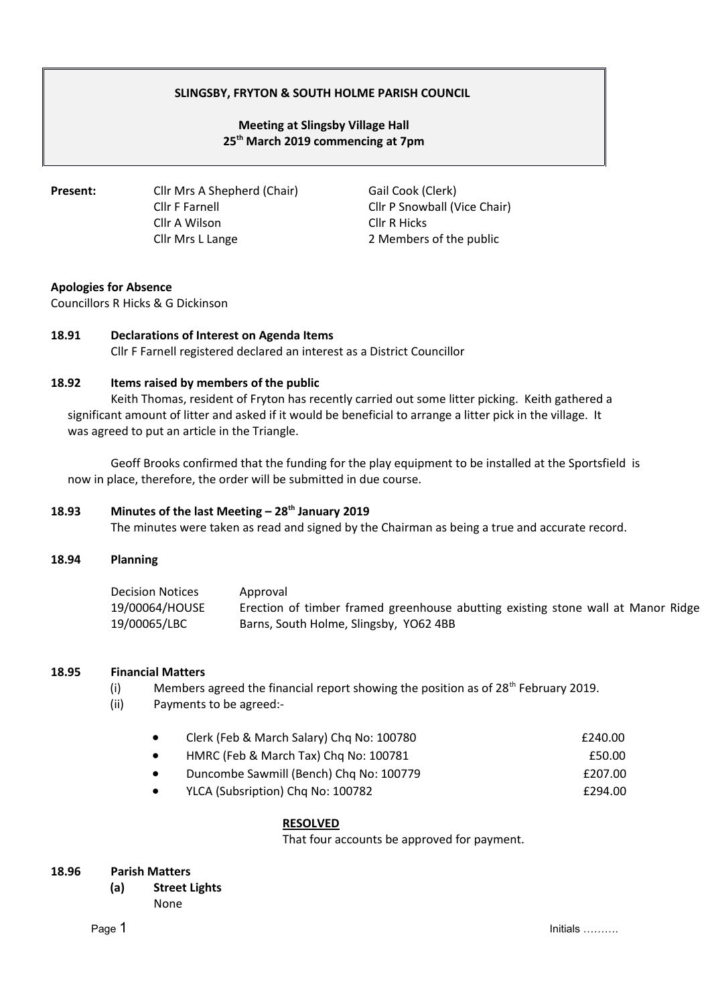# **SLINGSBY, FRYTON & SOUTH HOLME PARISH COUNCIL**

# **Meeting at Slingsby Village Hall 25th March 2019 commencing at 7pm**

**Present:** Cllr Mrs A Shepherd (Chair) Gail Cook (Clerk) Cllr A Wilson Cllr R Hicks

Cllr F Farnell Cllr P Snowball (Vice Chair) Cllr Mrs L Lange 2 Members of the public

## **Apologies for Absence**

Councillors R Hicks & G Dickinson

## **18.91 Declarations of Interest on Agenda Items**

Cllr F Farnell registered declared an interest as a District Councillor

### **18.92 Items raised by members of the public**

Keith Thomas, resident of Fryton has recently carried out some litter picking. Keith gathered a significant amount of litter and asked if it would be beneficial to arrange a litter pick in the village. It was agreed to put an article in the Triangle.

Geoff Brooks confirmed that the funding for the play equipment to be installed at the Sportsfield is now in place, therefore, the order will be submitted in due course.

## **18.93 Minutes of the last Meeting – 28th January 2019**

The minutes were taken as read and signed by the Chairman as being a true and accurate record.

## **18.94 Planning**

| <b>Decision Notices</b> | Approval                                                                         |
|-------------------------|----------------------------------------------------------------------------------|
| 19/00064/HOUSE          | Erection of timber framed greenhouse abutting existing stone wall at Manor Ridge |
| 19/00065/LBC            | Barns, South Holme, Slingsby, YO62 4BB                                           |

#### **18.95 Financial Matters**

(i) Members agreed the financial report showing the position as of  $28<sup>th</sup>$  February 2019.

(ii) Payments to be agreed:-

| Clerk (Feb & March Salary) Chq No: 100780 | £240.00 |
|-------------------------------------------|---------|
| HMRC (Feb & March Tax) Chq No: 100781     | £50.00  |

- Duncombe Sawmill (Bench) Chq No: 100779 **£207.00**
- YLCA (Subsription) Chq No: 100782 <br>
£294.00

## **RESOLVED**

That four accounts be approved for payment.

## **18.96 Parish Matters**

**(a) Street Lights** None